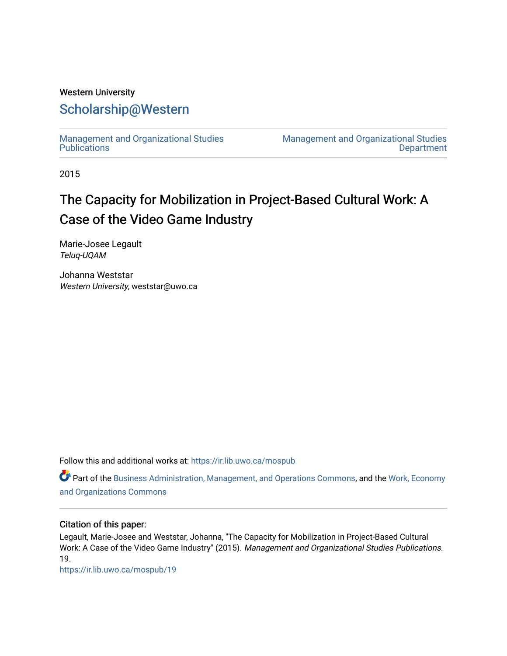### Western University

## [Scholarship@Western](https://ir.lib.uwo.ca/)

[Management and Organizational Studies](https://ir.lib.uwo.ca/mospub)  **Publications** 

[Management and Organizational Studies](https://ir.lib.uwo.ca/mos)  **Department** 

2015

# The Capacity for Mobilization in Project-Based Cultural Work: A Case of the Video Game Industry

Marie-Josee Legault Teluq-UQAM

Johanna Weststar Western University, weststar@uwo.ca

Follow this and additional works at: [https://ir.lib.uwo.ca/mospub](https://ir.lib.uwo.ca/mospub?utm_source=ir.lib.uwo.ca%2Fmospub%2F19&utm_medium=PDF&utm_campaign=PDFCoverPages) 

Part of the [Business Administration, Management, and Operations Commons](http://network.bepress.com/hgg/discipline/623?utm_source=ir.lib.uwo.ca%2Fmospub%2F19&utm_medium=PDF&utm_campaign=PDFCoverPages), and the [Work, Economy](http://network.bepress.com/hgg/discipline/433?utm_source=ir.lib.uwo.ca%2Fmospub%2F19&utm_medium=PDF&utm_campaign=PDFCoverPages)  [and Organizations Commons](http://network.bepress.com/hgg/discipline/433?utm_source=ir.lib.uwo.ca%2Fmospub%2F19&utm_medium=PDF&utm_campaign=PDFCoverPages)

#### Citation of this paper:

Legault, Marie-Josee and Weststar, Johanna, "The Capacity for Mobilization in Project-Based Cultural Work: A Case of the Video Game Industry" (2015). Management and Organizational Studies Publications. 19.

[https://ir.lib.uwo.ca/mospub/19](https://ir.lib.uwo.ca/mospub/19?utm_source=ir.lib.uwo.ca%2Fmospub%2F19&utm_medium=PDF&utm_campaign=PDFCoverPages)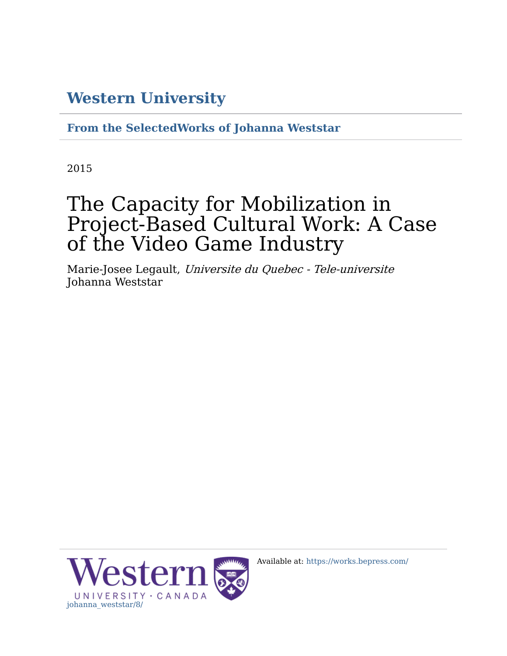# **[Western University](http://www.uwo.ca/)**

**[From the SelectedWorks of Johanna Weststar](https://works.bepress.com/johanna_weststar/)**

2015

# The Capacity for Mobilization in Project-Based Cultural Work: A Case of the Video Game Industry

Marie-Josee Legault, Universite du Quebec - Tele-universite Johanna Weststar



Available at: [https://works.bepress.com/](https://works.bepress.com/johanna_weststar/8/)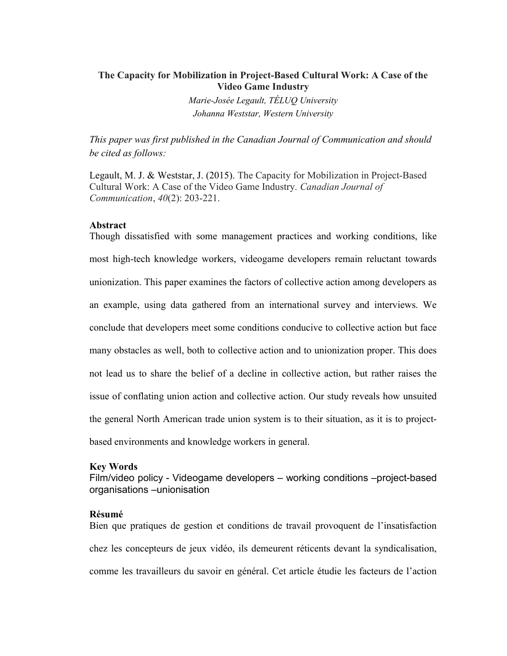#### The Capacity for Mobilization in Project-Based Cultural Work: A Case of the Video Game Industry

Marie-Josée Legault, TÉLUQ University Johanna Weststar, Western University

This paper was first published in the Canadian Journal of Communication and should be cited as follows:

Legault, M. J. & Weststar, J. (2015). The Capacity for Mobilization in Project-Based Cultural Work: A Case of the Video Game Industry. Canadian Journal of Communication, 40(2): 203-221.

#### Abstract

Though dissatisfied with some management practices and working conditions, like most high-tech knowledge workers, videogame developers remain reluctant towards unionization. This paper examines the factors of collective action among developers as an example, using data gathered from an international survey and interviews. We conclude that developers meet some conditions conducive to collective action but face many obstacles as well, both to collective action and to unionization proper. This does not lead us to share the belief of a decline in collective action, but rather raises the issue of conflating union action and collective action. Our study reveals how unsuited the general North American trade union system is to their situation, as it is to projectbased environments and knowledge workers in general.

#### Key Words

Film/video policy - Videogame developers – working conditions –project-based organisations –unionisation

#### Résumé

Bien que pratiques de gestion et conditions de travail provoquent de l'insatisfaction chez les concepteurs de jeux vidéo, ils demeurent réticents devant la syndicalisation, comme les travailleurs du savoir en général. Cet article étudie les facteurs de l'action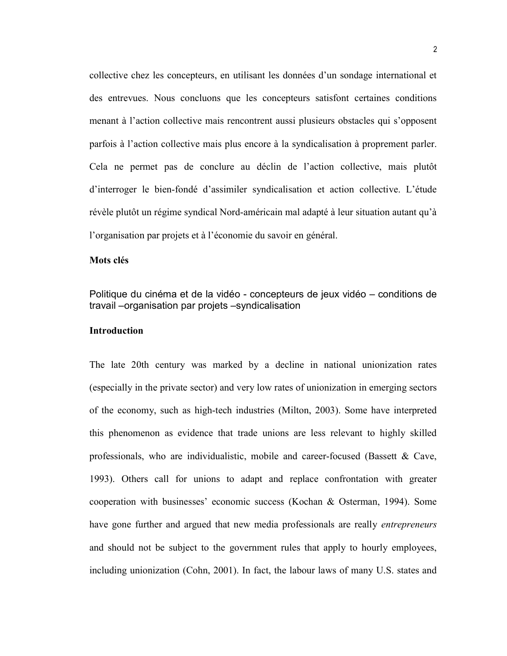collective chez les concepteurs, en utilisant les données d'un sondage international et des entrevues. Nous concluons que les concepteurs satisfont certaines conditions menant à l'action collective mais rencontrent aussi plusieurs obstacles qui s'opposent parfois à l'action collective mais plus encore à la syndicalisation à proprement parler. Cela ne permet pas de conclure au déclin de l'action collective, mais plutôt d'interroger le bien-fondé d'assimiler syndicalisation et action collective. L'étude révèle plutôt un régime syndical Nord-américain mal adapté à leur situation autant qu'à l'organisation par projets et à l'économie du savoir en général.

#### Mots clés

Politique du cinéma et de la vidéo - concepteurs de jeux vidéo – conditions de travail –organisation par projets –syndicalisation

#### **Introduction**

The late 20th century was marked by a decline in national unionization rates (especially in the private sector) and very low rates of unionization in emerging sectors of the economy, such as high-tech industries (Milton, 2003). Some have interpreted this phenomenon as evidence that trade unions are less relevant to highly skilled professionals, who are individualistic, mobile and career-focused (Bassett & Cave, 1993). Others call for unions to adapt and replace confrontation with greater cooperation with businesses' economic success (Kochan & Osterman, 1994). Some have gone further and argued that new media professionals are really *entrepreneurs* and should not be subject to the government rules that apply to hourly employees, including unionization (Cohn, 2001). In fact, the labour laws of many U.S. states and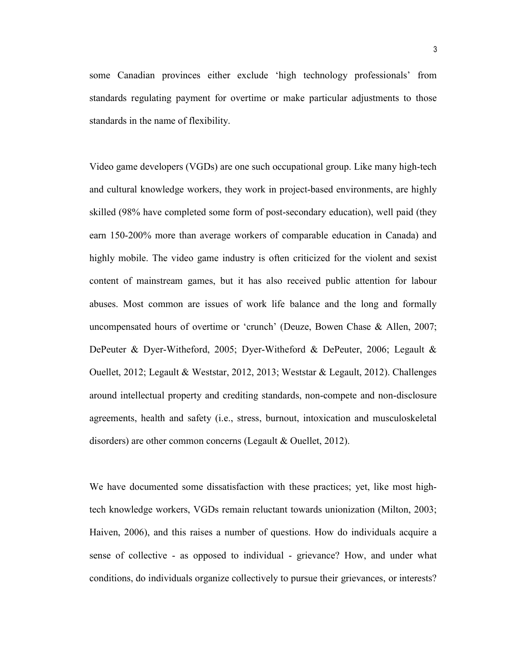some Canadian provinces either exclude 'high technology professionals' from standards regulating payment for overtime or make particular adjustments to those standards in the name of flexibility.

Video game developers (VGDs) are one such occupational group. Like many high-tech and cultural knowledge workers, they work in project-based environments, are highly skilled (98% have completed some form of post-secondary education), well paid (they earn 150-200% more than average workers of comparable education in Canada) and highly mobile. The video game industry is often criticized for the violent and sexist content of mainstream games, but it has also received public attention for labour abuses. Most common are issues of work life balance and the long and formally uncompensated hours of overtime or 'crunch' (Deuze, Bowen Chase & Allen, 2007; DePeuter & Dyer-Witheford, 2005; Dyer-Witheford & DePeuter, 2006; Legault & Ouellet, 2012; Legault & Weststar, 2012, 2013; Weststar & Legault, 2012). Challenges around intellectual property and crediting standards, non-compete and non-disclosure agreements, health and safety (i.e., stress, burnout, intoxication and musculoskeletal disorders) are other common concerns (Legault & Ouellet, 2012).

We have documented some dissatisfaction with these practices; yet, like most hightech knowledge workers, VGDs remain reluctant towards unionization (Milton, 2003; Haiven, 2006), and this raises a number of questions. How do individuals acquire a sense of collective - as opposed to individual - grievance? How, and under what conditions, do individuals organize collectively to pursue their grievances, or interests?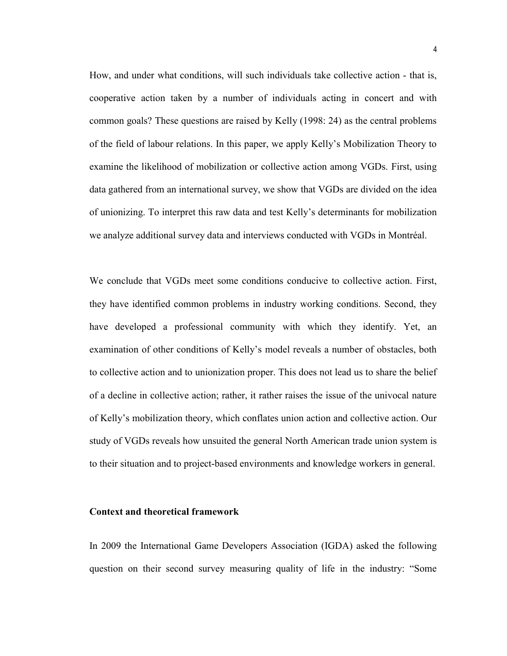How, and under what conditions, will such individuals take collective action - that is, cooperative action taken by a number of individuals acting in concert and with common goals? These questions are raised by Kelly (1998: 24) as the central problems of the field of labour relations. In this paper, we apply Kelly's Mobilization Theory to examine the likelihood of mobilization or collective action among VGDs. First, using data gathered from an international survey, we show that VGDs are divided on the idea of unionizing. To interpret this raw data and test Kelly's determinants for mobilization we analyze additional survey data and interviews conducted with VGDs in Montréal.

We conclude that VGDs meet some conditions conducive to collective action. First, they have identified common problems in industry working conditions. Second, they have developed a professional community with which they identify. Yet, an examination of other conditions of Kelly's model reveals a number of obstacles, both to collective action and to unionization proper. This does not lead us to share the belief of a decline in collective action; rather, it rather raises the issue of the univocal nature of Kelly's mobilization theory, which conflates union action and collective action. Our study of VGDs reveals how unsuited the general North American trade union system is to their situation and to project-based environments and knowledge workers in general.

#### Context and theoretical framework

In 2009 the International Game Developers Association (IGDA) asked the following question on their second survey measuring quality of life in the industry: "Some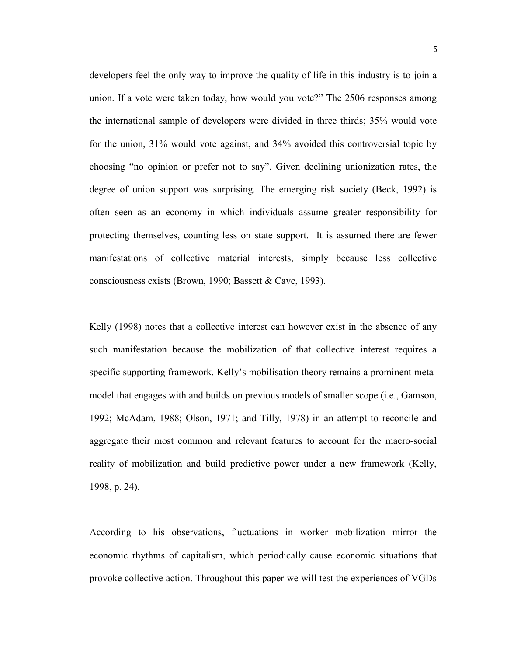developers feel the only way to improve the quality of life in this industry is to join a union. If a vote were taken today, how would you vote?" The 2506 responses among the international sample of developers were divided in three thirds; 35% would vote for the union, 31% would vote against, and 34% avoided this controversial topic by choosing "no opinion or prefer not to say". Given declining unionization rates, the degree of union support was surprising. The emerging risk society (Beck, 1992) is often seen as an economy in which individuals assume greater responsibility for protecting themselves, counting less on state support. It is assumed there are fewer manifestations of collective material interests, simply because less collective consciousness exists (Brown, 1990; Bassett & Cave, 1993).

Kelly (1998) notes that a collective interest can however exist in the absence of any such manifestation because the mobilization of that collective interest requires a specific supporting framework. Kelly's mobilisation theory remains a prominent metamodel that engages with and builds on previous models of smaller scope (i.e., Gamson, 1992; McAdam, 1988; Olson, 1971; and Tilly, 1978) in an attempt to reconcile and aggregate their most common and relevant features to account for the macro-social reality of mobilization and build predictive power under a new framework (Kelly, 1998, p. 24).

According to his observations, fluctuations in worker mobilization mirror the economic rhythms of capitalism, which periodically cause economic situations that provoke collective action. Throughout this paper we will test the experiences of VGDs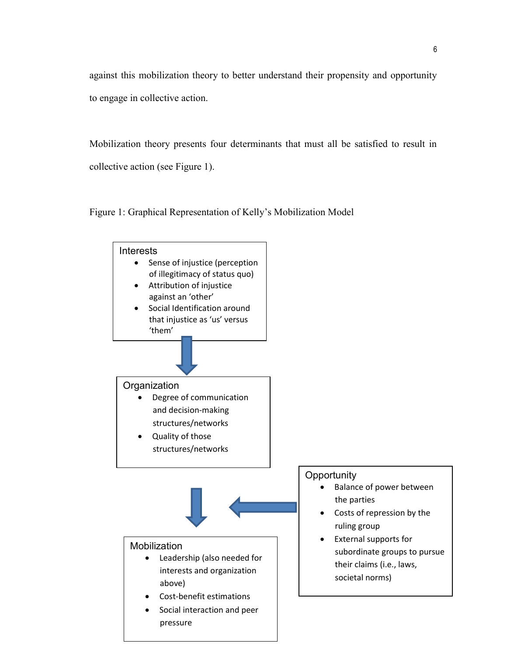against this mobilization theory to better understand their propensity and opportunity to engage in collective action.

Mobilization theory presents four determinants that must all be satisfied to result in collective action (see Figure 1).

Figure 1: Graphical Representation of Kelly's Mobilization Model

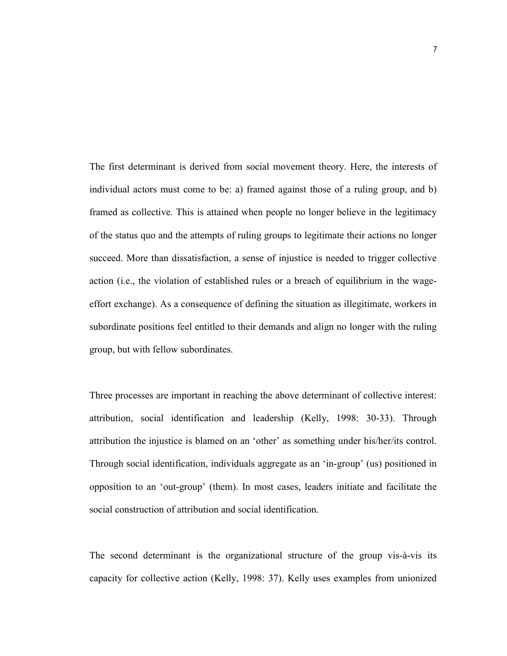The first determinant is derived from social movement theory. Here, the interests of individual actors must come to be: a) framed against those of a ruling group, and b) framed as collective. This is attained when people no longer believe in the legitimacy of the status quo and the attempts of ruling groups to legitimate their actions no longer succeed. More than dissatisfaction, a sense of injustice is needed to trigger collective action (i.e., the violation of established rules or a breach of equilibrium in the wageeffort exchange). As a consequence of defining the situation as illegitimate, workers in subordinate positions feel entitled to their demands and align no longer with the ruling group, but with fellow subordinates.

Three processes are important in reaching the above determinant of collective interest: attribution, social identification and leadership (Kelly, 1998: 30-33). Through attribution the injustice is blamed on an 'other' as something under his/her/its control. Through social identification, individuals aggregate as an 'in-group' (us) positioned in opposition to an 'out-group' (them). In most cases, leaders initiate and facilitate the social construction of attribution and social identification.

The second determinant is the organizational structure of the group vis-à-vis its capacity for collective action (Kelly, 1998: 37). Kelly uses examples from unionized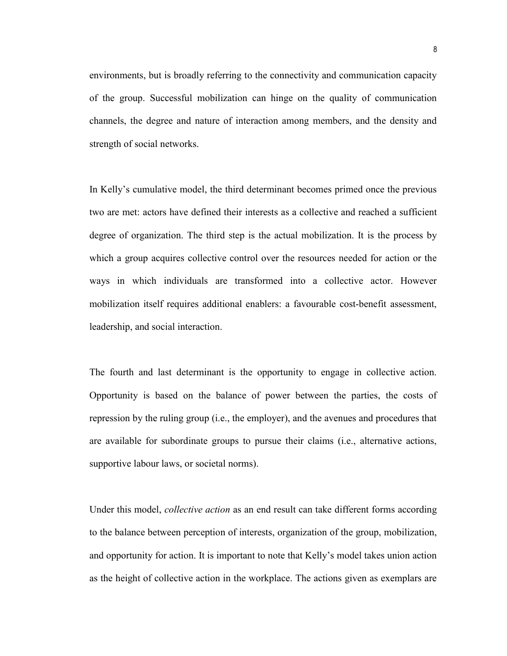environments, but is broadly referring to the connectivity and communication capacity of the group. Successful mobilization can hinge on the quality of communication channels, the degree and nature of interaction among members, and the density and strength of social networks.

In Kelly's cumulative model, the third determinant becomes primed once the previous two are met: actors have defined their interests as a collective and reached a sufficient degree of organization. The third step is the actual mobilization. It is the process by which a group acquires collective control over the resources needed for action or the ways in which individuals are transformed into a collective actor. However mobilization itself requires additional enablers: a favourable cost-benefit assessment, leadership, and social interaction.

The fourth and last determinant is the opportunity to engage in collective action. Opportunity is based on the balance of power between the parties, the costs of repression by the ruling group (i.e., the employer), and the avenues and procedures that are available for subordinate groups to pursue their claims (i.e., alternative actions, supportive labour laws, or societal norms).

Under this model, *collective action* as an end result can take different forms according to the balance between perception of interests, organization of the group, mobilization, and opportunity for action. It is important to note that Kelly's model takes union action as the height of collective action in the workplace. The actions given as exemplars are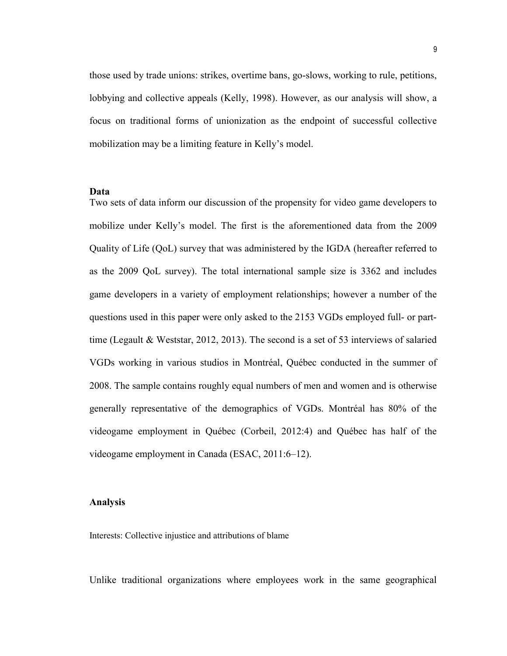those used by trade unions: strikes, overtime bans, go-slows, working to rule, petitions, lobbying and collective appeals (Kelly, 1998). However, as our analysis will show, a focus on traditional forms of unionization as the endpoint of successful collective mobilization may be a limiting feature in Kelly's model.

#### Data

Two sets of data inform our discussion of the propensity for video game developers to mobilize under Kelly's model. The first is the aforementioned data from the 2009 Quality of Life (QoL) survey that was administered by the IGDA (hereafter referred to as the 2009 QoL survey). The total international sample size is 3362 and includes game developers in a variety of employment relationships; however a number of the questions used in this paper were only asked to the 2153 VGDs employed full- or parttime (Legault & Weststar, 2012, 2013). The second is a set of 53 interviews of salaried VGDs working in various studios in Montréal, Québec conducted in the summer of 2008. The sample contains roughly equal numbers of men and women and is otherwise generally representative of the demographics of VGDs. Montréal has 80% of the videogame employment in Québec (Corbeil, 2012:4) and Québec has half of the videogame employment in Canada (ESAC, 2011:6–12).

#### Analysis

Interests: Collective injustice and attributions of blame

Unlike traditional organizations where employees work in the same geographical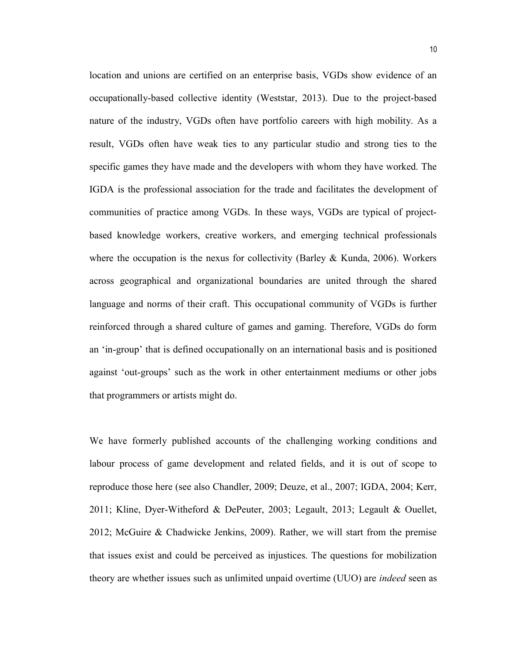location and unions are certified on an enterprise basis, VGDs show evidence of an occupationally-based collective identity (Weststar, 2013). Due to the project-based nature of the industry, VGDs often have portfolio careers with high mobility. As a result, VGDs often have weak ties to any particular studio and strong ties to the specific games they have made and the developers with whom they have worked. The IGDA is the professional association for the trade and facilitates the development of communities of practice among VGDs. In these ways, VGDs are typical of projectbased knowledge workers, creative workers, and emerging technical professionals where the occupation is the nexus for collectivity (Barley & Kunda, 2006). Workers across geographical and organizational boundaries are united through the shared language and norms of their craft. This occupational community of VGDs is further reinforced through a shared culture of games and gaming. Therefore, VGDs do form an 'in-group' that is defined occupationally on an international basis and is positioned against 'out-groups' such as the work in other entertainment mediums or other jobs that programmers or artists might do.

We have formerly published accounts of the challenging working conditions and labour process of game development and related fields, and it is out of scope to reproduce those here (see also Chandler, 2009; Deuze, et al., 2007; IGDA, 2004; Kerr, 2011; Kline, Dyer-Witheford & DePeuter, 2003; Legault, 2013; Legault & Ouellet, 2012; McGuire & Chadwicke Jenkins, 2009). Rather, we will start from the premise that issues exist and could be perceived as injustices. The questions for mobilization theory are whether issues such as unlimited unpaid overtime (UUO) are *indeed* seen as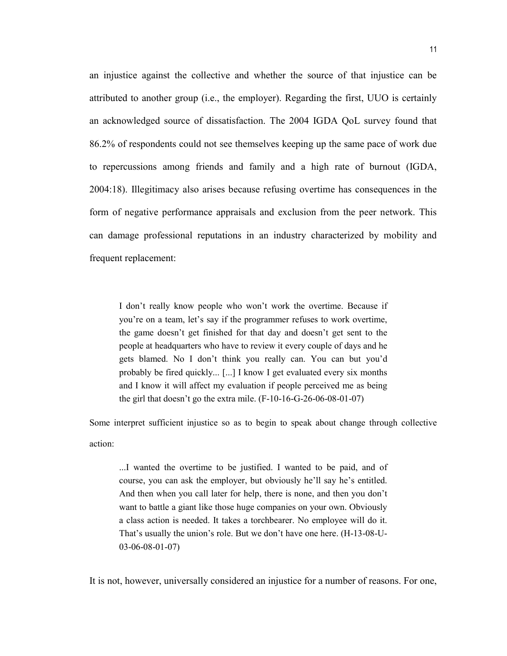an injustice against the collective and whether the source of that injustice can be attributed to another group (i.e., the employer). Regarding the first, UUO is certainly an acknowledged source of dissatisfaction. The 2004 IGDA QoL survey found that 86.2% of respondents could not see themselves keeping up the same pace of work due to repercussions among friends and family and a high rate of burnout (IGDA, 2004:18). Illegitimacy also arises because refusing overtime has consequences in the form of negative performance appraisals and exclusion from the peer network. This can damage professional reputations in an industry characterized by mobility and frequent replacement:

I don't really know people who won't work the overtime. Because if you're on a team, let's say if the programmer refuses to work overtime, the game doesn't get finished for that day and doesn't get sent to the people at headquarters who have to review it every couple of days and he gets blamed. No I don't think you really can. You can but you'd probably be fired quickly... [...] I know I get evaluated every six months and I know it will affect my evaluation if people perceived me as being the girl that doesn't go the extra mile. (F-10-16-G-26-06-08-01-07)

Some interpret sufficient injustice so as to begin to speak about change through collective action:

...I wanted the overtime to be justified. I wanted to be paid, and of course, you can ask the employer, but obviously he'll say he's entitled. And then when you call later for help, there is none, and then you don't want to battle a giant like those huge companies on your own. Obviously a class action is needed. It takes a torchbearer. No employee will do it. That's usually the union's role. But we don't have one here. (H-13-08-U-03-06-08-01-07)

It is not, however, universally considered an injustice for a number of reasons. For one,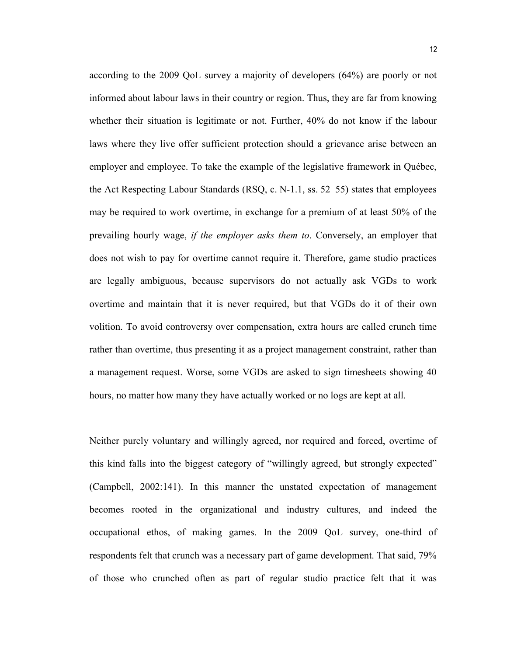according to the 2009 QoL survey a majority of developers (64%) are poorly or not informed about labour laws in their country or region. Thus, they are far from knowing whether their situation is legitimate or not. Further, 40% do not know if the labour laws where they live offer sufficient protection should a grievance arise between an employer and employee. To take the example of the legislative framework in Québec, the Act Respecting Labour Standards (RSQ, c. N-1.1, ss. 52–55) states that employees may be required to work overtime, in exchange for a premium of at least 50% of the prevailing hourly wage, if the employer asks them to. Conversely, an employer that does not wish to pay for overtime cannot require it. Therefore, game studio practices are legally ambiguous, because supervisors do not actually ask VGDs to work overtime and maintain that it is never required, but that VGDs do it of their own volition. To avoid controversy over compensation, extra hours are called crunch time rather than overtime, thus presenting it as a project management constraint, rather than a management request. Worse, some VGDs are asked to sign timesheets showing 40 hours, no matter how many they have actually worked or no logs are kept at all.

Neither purely voluntary and willingly agreed, nor required and forced, overtime of this kind falls into the biggest category of "willingly agreed, but strongly expected" (Campbell, 2002:141). In this manner the unstated expectation of management becomes rooted in the organizational and industry cultures, and indeed the occupational ethos, of making games. In the 2009 QoL survey, one-third of respondents felt that crunch was a necessary part of game development. That said, 79% of those who crunched often as part of regular studio practice felt that it was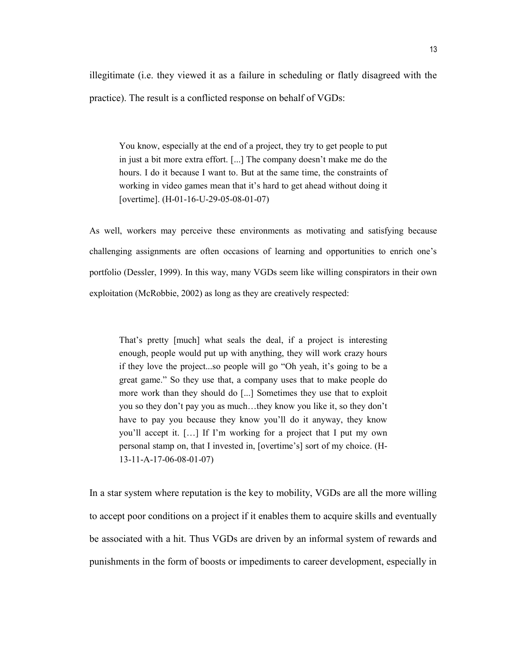illegitimate (i.e. they viewed it as a failure in scheduling or flatly disagreed with the practice). The result is a conflicted response on behalf of VGDs:

You know, especially at the end of a project, they try to get people to put in just a bit more extra effort. [...] The company doesn't make me do the hours. I do it because I want to. But at the same time, the constraints of working in video games mean that it's hard to get ahead without doing it [overtime]. (H-01-16-U-29-05-08-01-07)

As well, workers may perceive these environments as motivating and satisfying because challenging assignments are often occasions of learning and opportunities to enrich one's portfolio (Dessler, 1999). In this way, many VGDs seem like willing conspirators in their own exploitation (McRobbie, 2002) as long as they are creatively respected:

That's pretty [much] what seals the deal, if a project is interesting enough, people would put up with anything, they will work crazy hours if they love the project...so people will go "Oh yeah, it's going to be a great game." So they use that, a company uses that to make people do more work than they should do [...] Sometimes they use that to exploit you so they don't pay you as much…they know you like it, so they don't have to pay you because they know you'll do it anyway, they know you'll accept it. […] If I'm working for a project that I put my own personal stamp on, that I invested in, [overtime's] sort of my choice. (H-13-11-A-17-06-08-01-07)

In a star system where reputation is the key to mobility, VGDs are all the more willing to accept poor conditions on a project if it enables them to acquire skills and eventually be associated with a hit. Thus VGDs are driven by an informal system of rewards and punishments in the form of boosts or impediments to career development, especially in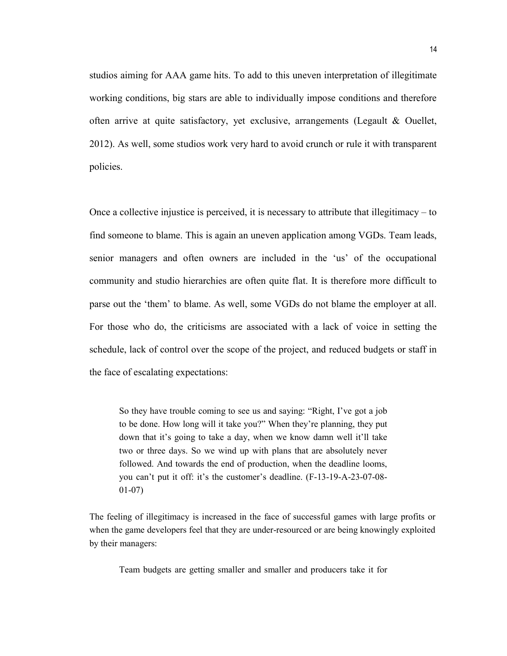studios aiming for AAA game hits. To add to this uneven interpretation of illegitimate working conditions, big stars are able to individually impose conditions and therefore often arrive at quite satisfactory, yet exclusive, arrangements (Legault & Ouellet, 2012). As well, some studios work very hard to avoid crunch or rule it with transparent policies.

Once a collective injustice is perceived, it is necessary to attribute that illegitimacy – to find someone to blame. This is again an uneven application among VGDs. Team leads, senior managers and often owners are included in the 'us' of the occupational community and studio hierarchies are often quite flat. It is therefore more difficult to parse out the 'them' to blame. As well, some VGDs do not blame the employer at all. For those who do, the criticisms are associated with a lack of voice in setting the schedule, lack of control over the scope of the project, and reduced budgets or staff in the face of escalating expectations:

So they have trouble coming to see us and saying: "Right, I've got a job to be done. How long will it take you?" When they're planning, they put down that it's going to take a day, when we know damn well it'll take two or three days. So we wind up with plans that are absolutely never followed. And towards the end of production, when the deadline looms, you can't put it off: it's the customer's deadline. (F-13-19-A-23-07-08- 01-07)

The feeling of illegitimacy is increased in the face of successful games with large profits or when the game developers feel that they are under-resourced or are being knowingly exploited by their managers:

Team budgets are getting smaller and smaller and producers take it for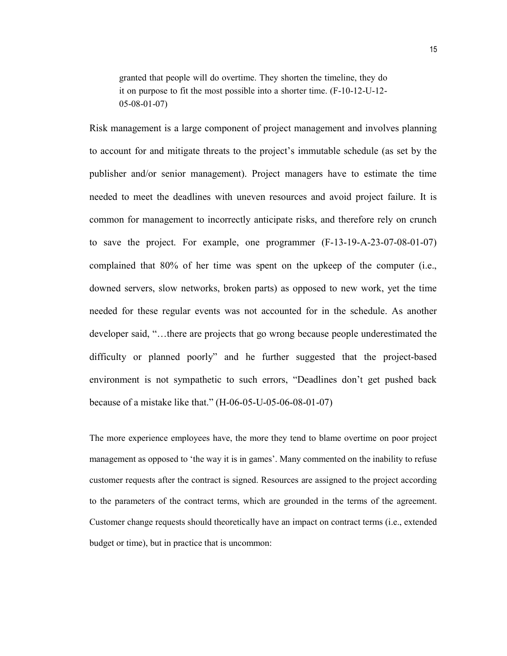granted that people will do overtime. They shorten the timeline, they do it on purpose to fit the most possible into a shorter time. (F-10-12-U-12- 05-08-01-07)

Risk management is a large component of project management and involves planning to account for and mitigate threats to the project's immutable schedule (as set by the publisher and/or senior management). Project managers have to estimate the time needed to meet the deadlines with uneven resources and avoid project failure. It is common for management to incorrectly anticipate risks, and therefore rely on crunch to save the project. For example, one programmer (F-13-19-A-23-07-08-01-07) complained that 80% of her time was spent on the upkeep of the computer (i.e., downed servers, slow networks, broken parts) as opposed to new work, yet the time needed for these regular events was not accounted for in the schedule. As another developer said, "…there are projects that go wrong because people underestimated the difficulty or planned poorly" and he further suggested that the project-based environment is not sympathetic to such errors, "Deadlines don't get pushed back because of a mistake like that." (H-06-05-U-05-06-08-01-07)

The more experience employees have, the more they tend to blame overtime on poor project management as opposed to 'the way it is in games'. Many commented on the inability to refuse customer requests after the contract is signed. Resources are assigned to the project according to the parameters of the contract terms, which are grounded in the terms of the agreement. Customer change requests should theoretically have an impact on contract terms (i.e., extended budget or time), but in practice that is uncommon: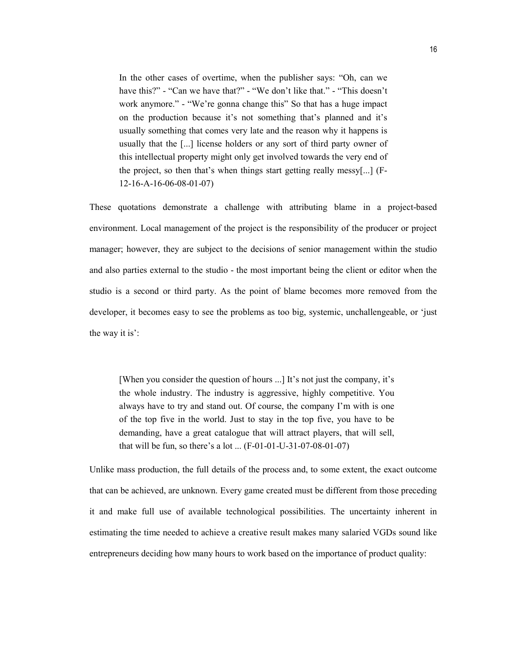In the other cases of overtime, when the publisher says: "Oh, can we have this?" - "Can we have that?" - "We don't like that." - "This doesn't work anymore." - "We're gonna change this" So that has a huge impact on the production because it's not something that's planned and it's usually something that comes very late and the reason why it happens is usually that the [...] license holders or any sort of third party owner of this intellectual property might only get involved towards the very end of the project, so then that's when things start getting really messy[...] (F-12-16-A-16-06-08-01-07)

These quotations demonstrate a challenge with attributing blame in a project-based environment. Local management of the project is the responsibility of the producer or project manager; however, they are subject to the decisions of senior management within the studio and also parties external to the studio - the most important being the client or editor when the studio is a second or third party. As the point of blame becomes more removed from the developer, it becomes easy to see the problems as too big, systemic, unchallengeable, or 'just the way it is':

[When you consider the question of hours ...] It's not just the company, it's the whole industry. The industry is aggressive, highly competitive. You always have to try and stand out. Of course, the company I'm with is one of the top five in the world. Just to stay in the top five, you have to be demanding, have a great catalogue that will attract players, that will sell, that will be fun, so there's a lot ... (F-01-01-U-31-07-08-01-07)

Unlike mass production, the full details of the process and, to some extent, the exact outcome that can be achieved, are unknown. Every game created must be different from those preceding it and make full use of available technological possibilities. The uncertainty inherent in estimating the time needed to achieve a creative result makes many salaried VGDs sound like entrepreneurs deciding how many hours to work based on the importance of product quality: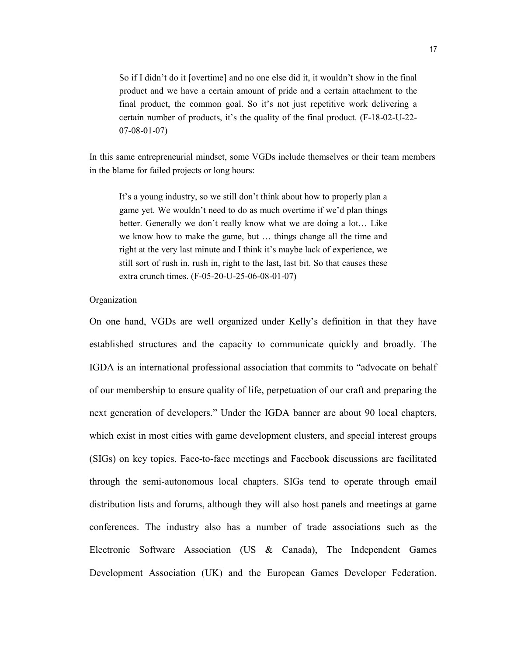So if I didn't do it [overtime] and no one else did it, it wouldn't show in the final product and we have a certain amount of pride and a certain attachment to the final product, the common goal. So it's not just repetitive work delivering a certain number of products, it's the quality of the final product. (F-18-02-U-22- 07-08-01-07)

In this same entrepreneurial mindset, some VGDs include themselves or their team members in the blame for failed projects or long hours:

It's a young industry, so we still don't think about how to properly plan a game yet. We wouldn't need to do as much overtime if we'd plan things better. Generally we don't really know what we are doing a lot… Like we know how to make the game, but … things change all the time and right at the very last minute and I think it's maybe lack of experience, we still sort of rush in, rush in, right to the last, last bit. So that causes these extra crunch times. (F-05-20-U-25-06-08-01-07)

#### Organization

On one hand, VGDs are well organized under Kelly's definition in that they have established structures and the capacity to communicate quickly and broadly. The IGDA is an international professional association that commits to "advocate on behalf of our membership to ensure quality of life, perpetuation of our craft and preparing the next generation of developers." Under the IGDA banner are about 90 local chapters, which exist in most cities with game development clusters, and special interest groups (SIGs) on key topics. Face-to-face meetings and Facebook discussions are facilitated through the semi-autonomous local chapters. SIGs tend to operate through email distribution lists and forums, although they will also host panels and meetings at game conferences. The industry also has a number of trade associations such as the Electronic Software Association (US & Canada), The Independent Games Development Association (UK) and the European Games Developer Federation.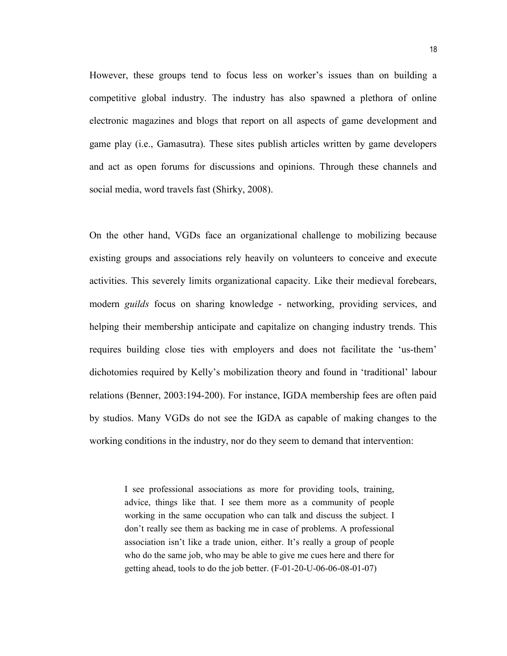However, these groups tend to focus less on worker's issues than on building a competitive global industry. The industry has also spawned a plethora of online electronic magazines and blogs that report on all aspects of game development and game play (i.e., Gamasutra). These sites publish articles written by game developers and act as open forums for discussions and opinions. Through these channels and social media, word travels fast (Shirky, 2008).

On the other hand, VGDs face an organizational challenge to mobilizing because existing groups and associations rely heavily on volunteers to conceive and execute activities. This severely limits organizational capacity. Like their medieval forebears, modern *guilds* focus on sharing knowledge - networking, providing services, and helping their membership anticipate and capitalize on changing industry trends. This requires building close ties with employers and does not facilitate the 'us-them' dichotomies required by Kelly's mobilization theory and found in 'traditional' labour relations (Benner, 2003:194-200). For instance, IGDA membership fees are often paid by studios. Many VGDs do not see the IGDA as capable of making changes to the working conditions in the industry, nor do they seem to demand that intervention:

> I see professional associations as more for providing tools, training, advice, things like that. I see them more as a community of people working in the same occupation who can talk and discuss the subject. I don't really see them as backing me in case of problems. A professional association isn't like a trade union, either. It's really a group of people who do the same job, who may be able to give me cues here and there for getting ahead, tools to do the job better. (F-01-20-U-06-06-08-01-07)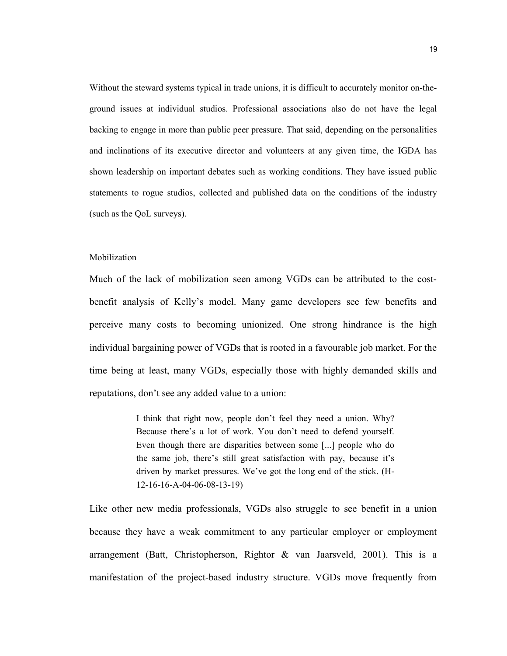Without the steward systems typical in trade unions, it is difficult to accurately monitor on-theground issues at individual studios. Professional associations also do not have the legal backing to engage in more than public peer pressure. That said, depending on the personalities and inclinations of its executive director and volunteers at any given time, the IGDA has shown leadership on important debates such as working conditions. They have issued public statements to rogue studios, collected and published data on the conditions of the industry (such as the QoL surveys).

#### Mobilization

Much of the lack of mobilization seen among VGDs can be attributed to the costbenefit analysis of Kelly's model. Many game developers see few benefits and perceive many costs to becoming unionized. One strong hindrance is the high individual bargaining power of VGDs that is rooted in a favourable job market. For the time being at least, many VGDs, especially those with highly demanded skills and reputations, don't see any added value to a union:

> I think that right now, people don't feel they need a union. Why? Because there's a lot of work. You don't need to defend yourself. Even though there are disparities between some [...] people who do the same job, there's still great satisfaction with pay, because it's driven by market pressures. We've got the long end of the stick. (H-12-16-16-A-04-06-08-13-19)

Like other new media professionals, VGDs also struggle to see benefit in a union because they have a weak commitment to any particular employer or employment arrangement (Batt, Christopherson, Rightor & van Jaarsveld, 2001). This is a manifestation of the project-based industry structure. VGDs move frequently from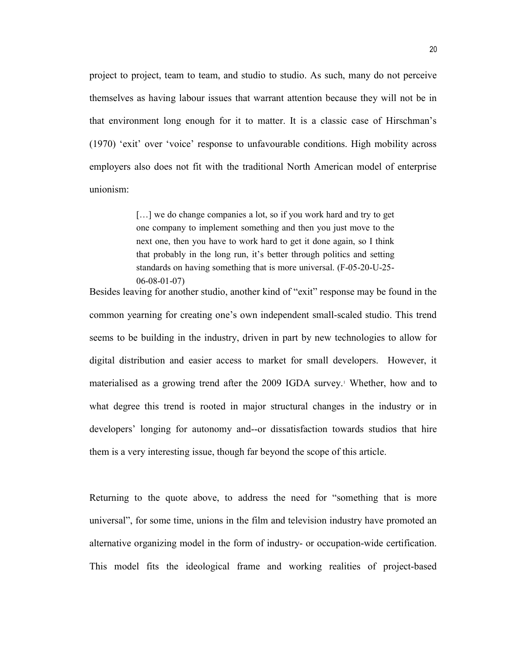project to project, team to team, and studio to studio. As such, many do not perceive themselves as having labour issues that warrant attention because they will not be in that environment long enough for it to matter. It is a classic case of Hirschman's (1970) 'exit' over 'voice' response to unfavourable conditions. High mobility across employers also does not fit with the traditional North American model of enterprise unionism:

> [...] we do change companies a lot, so if you work hard and try to get one company to implement something and then you just move to the next one, then you have to work hard to get it done again, so I think that probably in the long run, it's better through politics and setting standards on having something that is more universal. (F-05-20-U-25- 06-08-01-07)

Besides leaving for another studio, another kind of "exit" response may be found in the common yearning for creating one's own independent small-scaled studio. This trend seems to be building in the industry, driven in part by new technologies to allow for digital distribution and easier access to market for small developers. However, it materialised as a growing trend after the 2009 IGDA survey.<sup>1</sup> Whether, how and to what degree this trend is rooted in major structural changes in the industry or in developers' longing for autonomy and--or dissatisfaction towards studios that hire them is a very interesting issue, though far beyond the scope of this article.

Returning to the quote above, to address the need for "something that is more universal", for some time, unions in the film and television industry have promoted an alternative organizing model in the form of industry- or occupation-wide certification. This model fits the ideological frame and working realities of project-based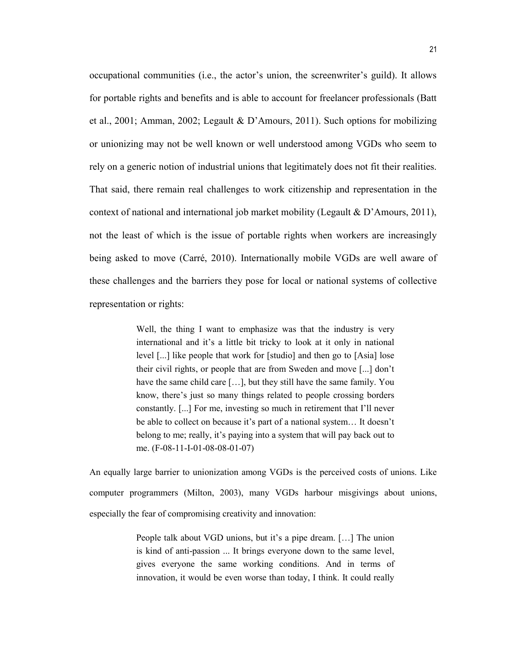occupational communities (i.e., the actor's union, the screenwriter's guild). It allows for portable rights and benefits and is able to account for freelancer professionals (Batt et al., 2001; Amman, 2002; Legault & D'Amours, 2011). Such options for mobilizing or unionizing may not be well known or well understood among VGDs who seem to rely on a generic notion of industrial unions that legitimately does not fit their realities. That said, there remain real challenges to work citizenship and representation in the context of national and international job market mobility (Legault & D'Amours, 2011), not the least of which is the issue of portable rights when workers are increasingly being asked to move (Carré, 2010). Internationally mobile VGDs are well aware of these challenges and the barriers they pose for local or national systems of collective representation or rights:

> Well, the thing I want to emphasize was that the industry is very international and it's a little bit tricky to look at it only in national level [...] like people that work for [studio] and then go to [Asia] lose their civil rights, or people that are from Sweden and move [...] don't have the same child care […], but they still have the same family. You know, there's just so many things related to people crossing borders constantly. [...] For me, investing so much in retirement that I'll never be able to collect on because it's part of a national system… It doesn't belong to me; really, it's paying into a system that will pay back out to me. (F-08-11-I-01-08-08-01-07)

An equally large barrier to unionization among VGDs is the perceived costs of unions. Like computer programmers (Milton, 2003), many VGDs harbour misgivings about unions, especially the fear of compromising creativity and innovation:

> People talk about VGD unions, but it's a pipe dream. […] The union is kind of anti-passion ... It brings everyone down to the same level, gives everyone the same working conditions. And in terms of innovation, it would be even worse than today, I think. It could really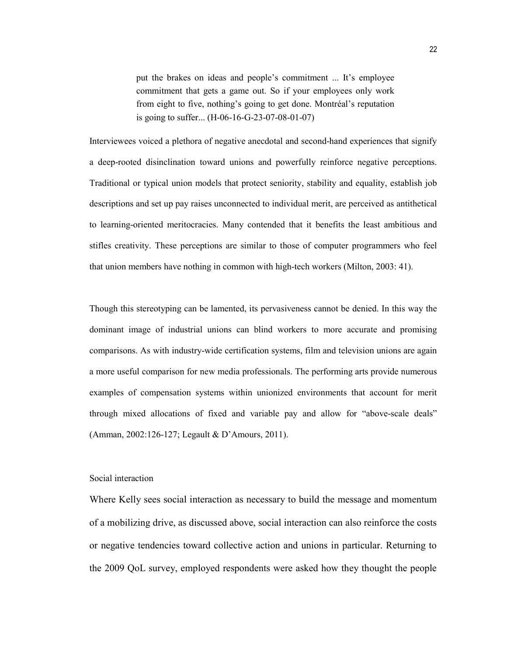put the brakes on ideas and people's commitment ... It's employee commitment that gets a game out. So if your employees only work from eight to five, nothing's going to get done. Montréal's reputation is going to suffer... (H-06-16-G-23-07-08-01-07)

Interviewees voiced a plethora of negative anecdotal and second-hand experiences that signify a deep-rooted disinclination toward unions and powerfully reinforce negative perceptions. Traditional or typical union models that protect seniority, stability and equality, establish job descriptions and set up pay raises unconnected to individual merit, are perceived as antithetical to learning-oriented meritocracies. Many contended that it benefits the least ambitious and stifles creativity. These perceptions are similar to those of computer programmers who feel that union members have nothing in common with high-tech workers (Milton, 2003: 41).

Though this stereotyping can be lamented, its pervasiveness cannot be denied. In this way the dominant image of industrial unions can blind workers to more accurate and promising comparisons. As with industry-wide certification systems, film and television unions are again a more useful comparison for new media professionals. The performing arts provide numerous examples of compensation systems within unionized environments that account for merit through mixed allocations of fixed and variable pay and allow for "above-scale deals" (Amman, 2002:126-127; Legault & D'Amours, 2011).

#### Social interaction

Where Kelly sees social interaction as necessary to build the message and momentum of a mobilizing drive, as discussed above, social interaction can also reinforce the costs or negative tendencies toward collective action and unions in particular. Returning to the 2009 QoL survey, employed respondents were asked how they thought the people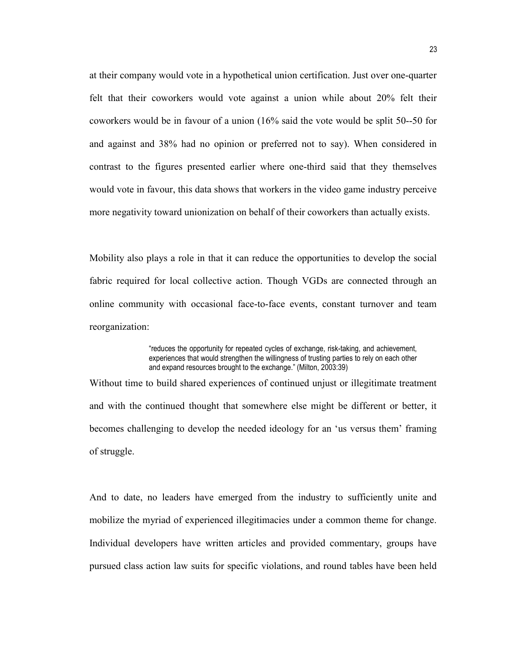at their company would vote in a hypothetical union certification. Just over one-quarter felt that their coworkers would vote against a union while about 20% felt their coworkers would be in favour of a union (16% said the vote would be split 50--50 for and against and 38% had no opinion or preferred not to say). When considered in contrast to the figures presented earlier where one-third said that they themselves would vote in favour, this data shows that workers in the video game industry perceive more negativity toward unionization on behalf of their coworkers than actually exists.

Mobility also plays a role in that it can reduce the opportunities to develop the social fabric required for local collective action. Though VGDs are connected through an online community with occasional face-to-face events, constant turnover and team reorganization:

> "reduces the opportunity for repeated cycles of exchange, risk-taking, and achievement, experiences that would strengthen the willingness of trusting parties to rely on each other and expand resources brought to the exchange." (Milton, 2003:39)

Without time to build shared experiences of continued unjust or illegitimate treatment and with the continued thought that somewhere else might be different or better, it becomes challenging to develop the needed ideology for an 'us versus them' framing of struggle.

And to date, no leaders have emerged from the industry to sufficiently unite and mobilize the myriad of experienced illegitimacies under a common theme for change. Individual developers have written articles and provided commentary, groups have pursued class action law suits for specific violations, and round tables have been held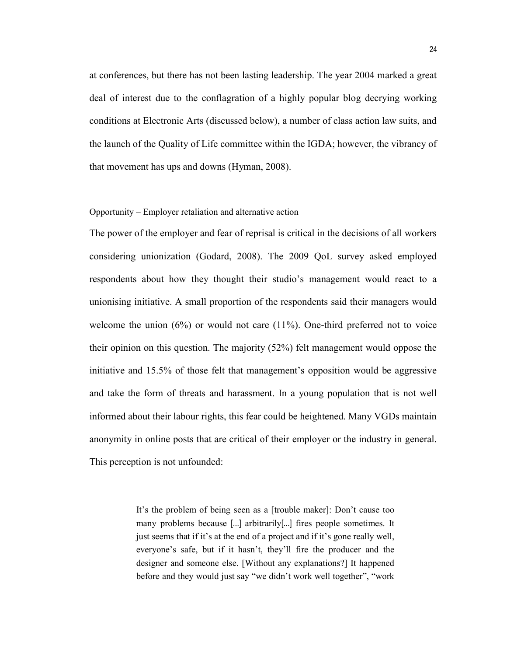at conferences, but there has not been lasting leadership. The year 2004 marked a great deal of interest due to the conflagration of a highly popular blog decrying working conditions at Electronic Arts (discussed below), a number of class action law suits, and the launch of the Quality of Life committee within the IGDA; however, the vibrancy of that movement has ups and downs (Hyman, 2008).

#### Opportunity – Employer retaliation and alternative action

The power of the employer and fear of reprisal is critical in the decisions of all workers considering unionization (Godard, 2008). The 2009 QoL survey asked employed respondents about how they thought their studio's management would react to a unionising initiative. A small proportion of the respondents said their managers would welcome the union  $(6%)$  or would not care  $(11%)$ . One-third preferred not to voice their opinion on this question. The majority (52%) felt management would oppose the initiative and 15.5% of those felt that management's opposition would be aggressive and take the form of threats and harassment. In a young population that is not well informed about their labour rights, this fear could be heightened. Many VGDs maintain anonymity in online posts that are critical of their employer or the industry in general. This perception is not unfounded:

> It's the problem of being seen as a [trouble maker]: Don't cause too many problems because [...] arbitrarily[...] fires people sometimes. It just seems that if it's at the end of a project and if it's gone really well, everyone's safe, but if it hasn't, they'll fire the producer and the designer and someone else. [Without any explanations?] It happened before and they would just say "we didn't work well together", "work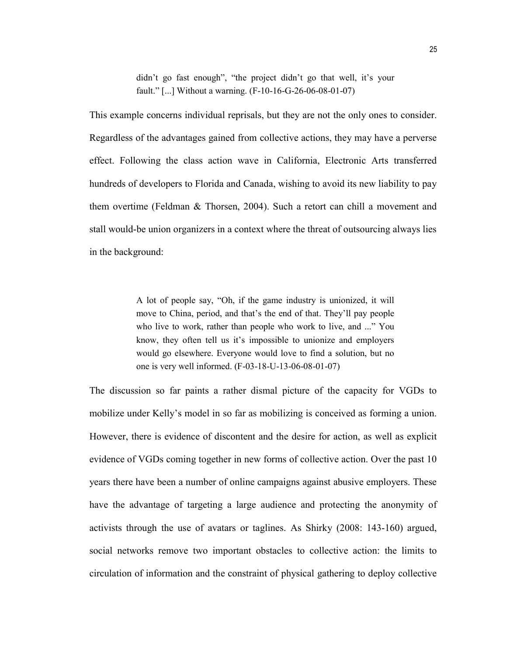didn't go fast enough", "the project didn't go that well, it's your fault." [...] Without a warning. (F-10-16-G-26-06-08-01-07)

This example concerns individual reprisals, but they are not the only ones to consider. Regardless of the advantages gained from collective actions, they may have a perverse effect. Following the class action wave in California, Electronic Arts transferred hundreds of developers to Florida and Canada, wishing to avoid its new liability to pay them overtime (Feldman & Thorsen, 2004). Such a retort can chill a movement and stall would-be union organizers in a context where the threat of outsourcing always lies in the background:

> A lot of people say, "Oh, if the game industry is unionized, it will move to China, period, and that's the end of that. They'll pay people who live to work, rather than people who work to live, and ..." You know, they often tell us it's impossible to unionize and employers would go elsewhere. Everyone would love to find a solution, but no one is very well informed. (F-03-18-U-13-06-08-01-07)

The discussion so far paints a rather dismal picture of the capacity for VGDs to mobilize under Kelly's model in so far as mobilizing is conceived as forming a union. However, there is evidence of discontent and the desire for action, as well as explicit evidence of VGDs coming together in new forms of collective action. Over the past 10 years there have been a number of online campaigns against abusive employers. These have the advantage of targeting a large audience and protecting the anonymity of activists through the use of avatars or taglines. As Shirky (2008: 143-160) argued, social networks remove two important obstacles to collective action: the limits to circulation of information and the constraint of physical gathering to deploy collective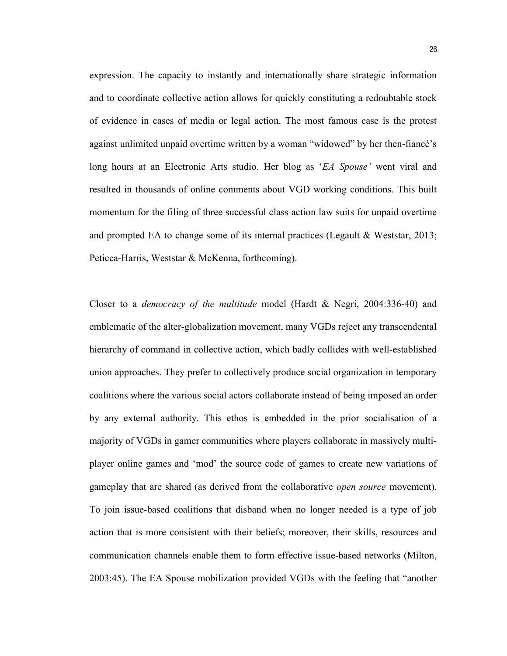expression. The capacity to instantly and internationally share strategic information and to coordinate collective action allows for quickly constituting a redoubtable stock of evidence in cases of media or legal action. The most famous case is the protest against unlimited unpaid overtime written by a woman "widowed" by her then-fiancé's long hours at an Electronic Arts studio. Her blog as 'EA Spouse' went viral and resulted in thousands of online comments about VGD working conditions. This built momentum for the filing of three successful class action law suits for unpaid overtime and prompted EA to change some of its internal practices (Legault & Weststar, 2013; Peticca-Harris, Weststar & McKenna, forthcoming).

Closer to a democracy of the multitude model (Hardt & Negri, 2004:336-40) and emblematic of the alter-globalization movement, many VGDs reject any transcendental hierarchy of command in collective action, which badly collides with well-established union approaches. They prefer to collectively produce social organization in temporary coalitions where the various social actors collaborate instead of being imposed an order by any external authority. This ethos is embedded in the prior socialisation of a majority of VGDs in gamer communities where players collaborate in massively multiplayer online games and 'mod' the source code of games to create new variations of gameplay that are shared (as derived from the collaborative open source movement). To join issue-based coalitions that disband when no longer needed is a type of job action that is more consistent with their beliefs; moreover, their skills, resources and communication channels enable them to form effective issue-based networks (Milton, 2003:45). The EA Spouse mobilization provided VGDs with the feeling that "another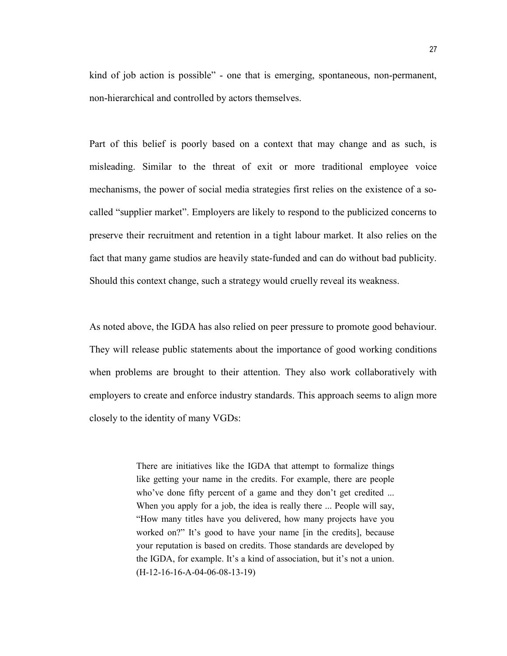kind of job action is possible" - one that is emerging, spontaneous, non-permanent, non-hierarchical and controlled by actors themselves.

Part of this belief is poorly based on a context that may change and as such, is misleading. Similar to the threat of exit or more traditional employee voice mechanisms, the power of social media strategies first relies on the existence of a socalled "supplier market". Employers are likely to respond to the publicized concerns to preserve their recruitment and retention in a tight labour market. It also relies on the fact that many game studios are heavily state-funded and can do without bad publicity. Should this context change, such a strategy would cruelly reveal its weakness.

As noted above, the IGDA has also relied on peer pressure to promote good behaviour. They will release public statements about the importance of good working conditions when problems are brought to their attention. They also work collaboratively with employers to create and enforce industry standards. This approach seems to align more closely to the identity of many VGDs:

> There are initiatives like the IGDA that attempt to formalize things like getting your name in the credits. For example, there are people who've done fifty percent of a game and they don't get credited ... When you apply for a job, the idea is really there ... People will say, "How many titles have you delivered, how many projects have you worked on?" It's good to have your name [in the credits], because your reputation is based on credits. Those standards are developed by the IGDA, for example. It's a kind of association, but it's not a union. (H-12-16-16-A-04-06-08-13-19)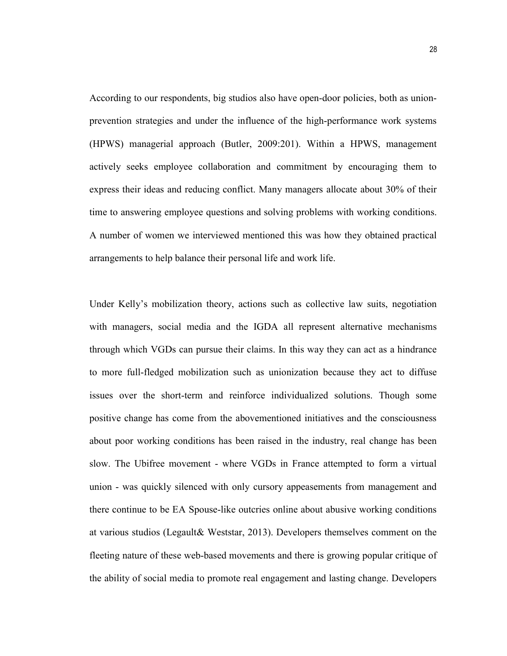According to our respondents, big studios also have open-door policies, both as unionprevention strategies and under the influence of the high-performance work systems (HPWS) managerial approach (Butler, 2009:201). Within a HPWS, management actively seeks employee collaboration and commitment by encouraging them to express their ideas and reducing conflict. Many managers allocate about 30% of their time to answering employee questions and solving problems with working conditions. A number of women we interviewed mentioned this was how they obtained practical arrangements to help balance their personal life and work life.

Under Kelly's mobilization theory, actions such as collective law suits, negotiation with managers, social media and the IGDA all represent alternative mechanisms through which VGDs can pursue their claims. In this way they can act as a hindrance to more full-fledged mobilization such as unionization because they act to diffuse issues over the short-term and reinforce individualized solutions. Though some positive change has come from the abovementioned initiatives and the consciousness about poor working conditions has been raised in the industry, real change has been slow. The Ubifree movement - where VGDs in France attempted to form a virtual union - was quickly silenced with only cursory appeasements from management and there continue to be EA Spouse-like outcries online about abusive working conditions at various studios (Legault& Weststar, 2013). Developers themselves comment on the fleeting nature of these web-based movements and there is growing popular critique of the ability of social media to promote real engagement and lasting change. Developers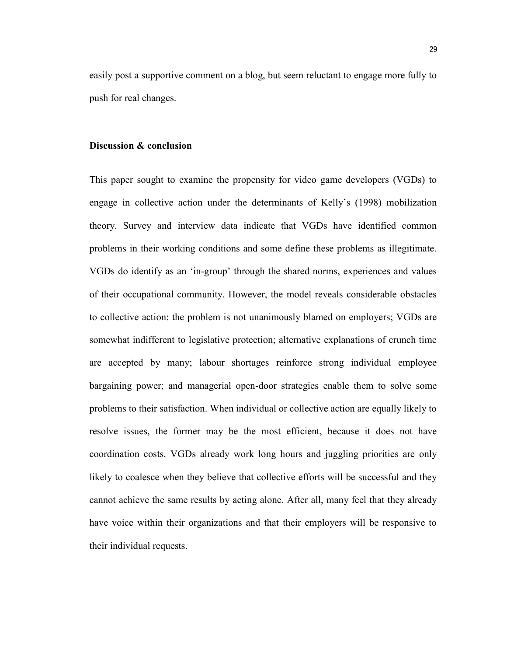easily post a supportive comment on a blog, but seem reluctant to engage more fully to push for real changes.

#### Discussion & conclusion

This paper sought to examine the propensity for video game developers (VGDs) to engage in collective action under the determinants of Kelly's (1998) mobilization theory. Survey and interview data indicate that VGDs have identified common problems in their working conditions and some define these problems as illegitimate. VGDs do identify as an 'in-group' through the shared norms, experiences and values of their occupational community. However, the model reveals considerable obstacles to collective action: the problem is not unanimously blamed on employers; VGDs are somewhat indifferent to legislative protection; alternative explanations of crunch time are accepted by many; labour shortages reinforce strong individual employee bargaining power; and managerial open-door strategies enable them to solve some problems to their satisfaction. When individual or collective action are equally likely to resolve issues, the former may be the most efficient, because it does not have coordination costs. VGDs already work long hours and juggling priorities are only likely to coalesce when they believe that collective efforts will be successful and they cannot achieve the same results by acting alone. After all, many feel that they already have voice within their organizations and that their employers will be responsive to their individual requests.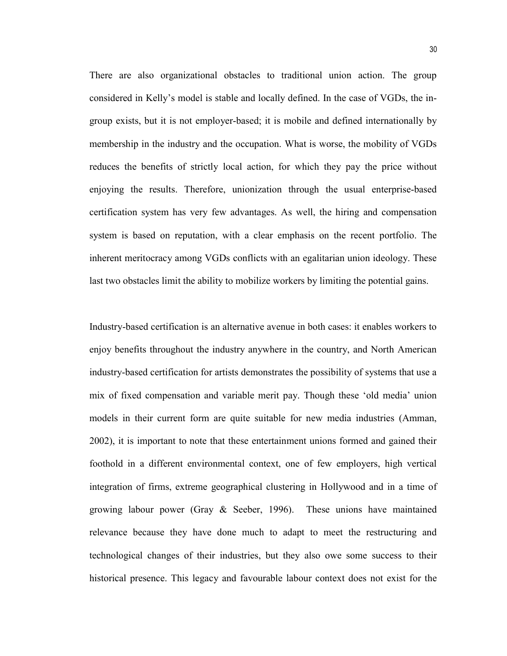There are also organizational obstacles to traditional union action. The group considered in Kelly's model is stable and locally defined. In the case of VGDs, the ingroup exists, but it is not employer-based; it is mobile and defined internationally by membership in the industry and the occupation. What is worse, the mobility of VGDs reduces the benefits of strictly local action, for which they pay the price without enjoying the results. Therefore, unionization through the usual enterprise-based certification system has very few advantages. As well, the hiring and compensation system is based on reputation, with a clear emphasis on the recent portfolio. The inherent meritocracy among VGDs conflicts with an egalitarian union ideology. These last two obstacles limit the ability to mobilize workers by limiting the potential gains.

Industry-based certification is an alternative avenue in both cases: it enables workers to enjoy benefits throughout the industry anywhere in the country, and North American industry-based certification for artists demonstrates the possibility of systems that use a mix of fixed compensation and variable merit pay. Though these 'old media' union models in their current form are quite suitable for new media industries (Amman, 2002), it is important to note that these entertainment unions formed and gained their foothold in a different environmental context, one of few employers, high vertical integration of firms, extreme geographical clustering in Hollywood and in a time of growing labour power (Gray & Seeber, 1996). These unions have maintained relevance because they have done much to adapt to meet the restructuring and technological changes of their industries, but they also owe some success to their historical presence. This legacy and favourable labour context does not exist for the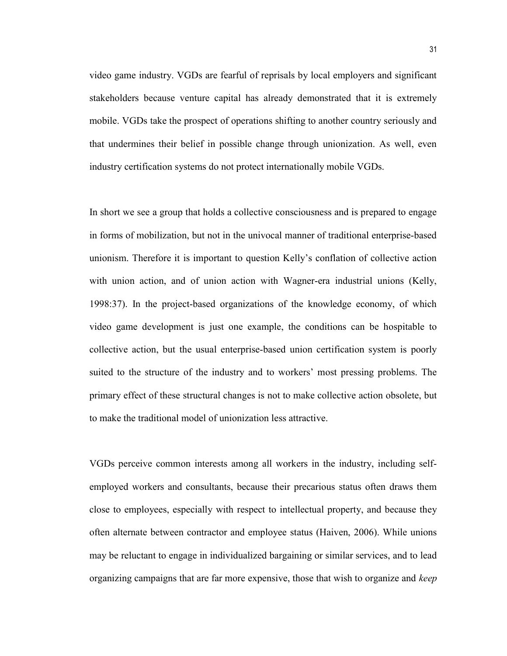video game industry. VGDs are fearful of reprisals by local employers and significant stakeholders because venture capital has already demonstrated that it is extremely mobile. VGDs take the prospect of operations shifting to another country seriously and that undermines their belief in possible change through unionization. As well, even industry certification systems do not protect internationally mobile VGDs.

In short we see a group that holds a collective consciousness and is prepared to engage in forms of mobilization, but not in the univocal manner of traditional enterprise-based unionism. Therefore it is important to question Kelly's conflation of collective action with union action, and of union action with Wagner-era industrial unions (Kelly, 1998:37). In the project-based organizations of the knowledge economy, of which video game development is just one example, the conditions can be hospitable to collective action, but the usual enterprise-based union certification system is poorly suited to the structure of the industry and to workers' most pressing problems. The primary effect of these structural changes is not to make collective action obsolete, but to make the traditional model of unionization less attractive.

VGDs perceive common interests among all workers in the industry, including selfemployed workers and consultants, because their precarious status often draws them close to employees, especially with respect to intellectual property, and because they often alternate between contractor and employee status (Haiven, 2006). While unions may be reluctant to engage in individualized bargaining or similar services, and to lead organizing campaigns that are far more expensive, those that wish to organize and keep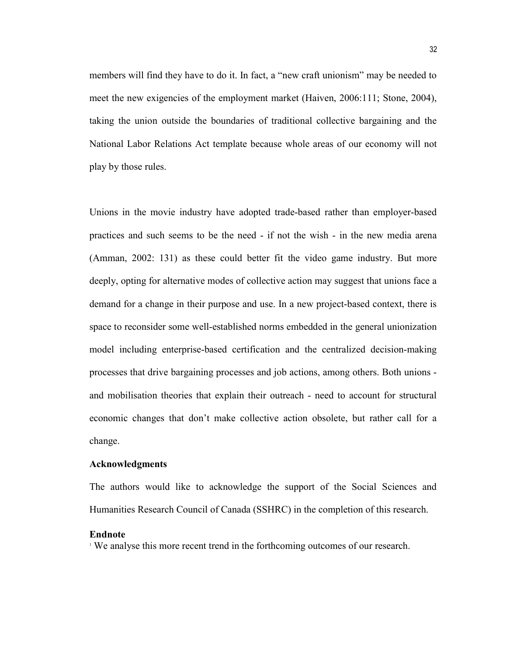members will find they have to do it. In fact, a "new craft unionism" may be needed to meet the new exigencies of the employment market (Haiven, 2006:111; Stone, 2004), taking the union outside the boundaries of traditional collective bargaining and the National Labor Relations Act template because whole areas of our economy will not play by those rules.

Unions in the movie industry have adopted trade-based rather than employer-based practices and such seems to be the need - if not the wish - in the new media arena (Amman, 2002: 131) as these could better fit the video game industry. But more deeply, opting for alternative modes of collective action may suggest that unions face a demand for a change in their purpose and use. In a new project-based context, there is space to reconsider some well-established norms embedded in the general unionization model including enterprise-based certification and the centralized decision-making processes that drive bargaining processes and job actions, among others. Both unions and mobilisation theories that explain their outreach - need to account for structural economic changes that don't make collective action obsolete, but rather call for a change.

#### Acknowledgments

The authors would like to acknowledge the support of the Social Sciences and Humanities Research Council of Canada (SSHRC) in the completion of this research.

#### Endnote

1 We analyse this more recent trend in the forthcoming outcomes of our research.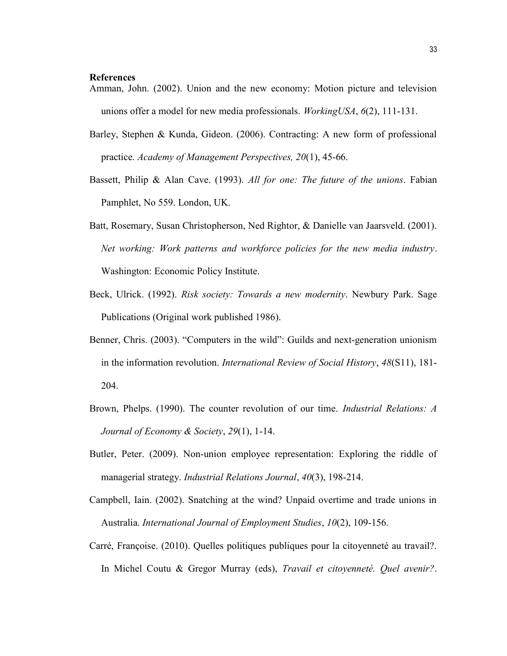#### **References**

- Amman, John. (2002). Union and the new economy: Motion picture and television unions offer a model for new media professionals. Working USA,  $6(2)$ , 111-131.
- Barley, Stephen & Kunda, Gideon. (2006). Contracting: A new form of professional practice. Academy of Management Perspectives, 20(1), 45-66.
- Bassett, Philip & Alan Cave. (1993). All for one: The future of the unions. Fabian Pamphlet, No 559. London, UK.
- Batt, Rosemary, Susan Christopherson, Ned Rightor, & Danielle van Jaarsveld. (2001). Net working: Work patterns and workforce policies for the new media industry. Washington: Economic Policy Institute.
- Beck, Ulrick. (1992). Risk society: Towards a new modernity. Newbury Park. Sage Publications (Original work published 1986).
- Benner, Chris. (2003). "Computers in the wild": Guilds and next-generation unionism in the information revolution. International Review of Social History, 48(S11), 181- 204.
- Brown, Phelps. (1990). The counter revolution of our time. *Industrial Relations: A* Journal of Economy & Society, 29(1), 1-14.
- Butler, Peter. (2009). Non-union employee representation: Exploring the riddle of managerial strategy. Industrial Relations Journal, 40(3), 198-214.
- Campbell, Iain. (2002). Snatching at the wind? Unpaid overtime and trade unions in Australia. International Journal of Employment Studies, 10(2), 109-156.
- Carré, Françoise. (2010). Quelles politiques publiques pour la citoyenneté au travail?. In Michel Coutu & Gregor Murray (eds), Travail et citoyenneté. Quel avenir?.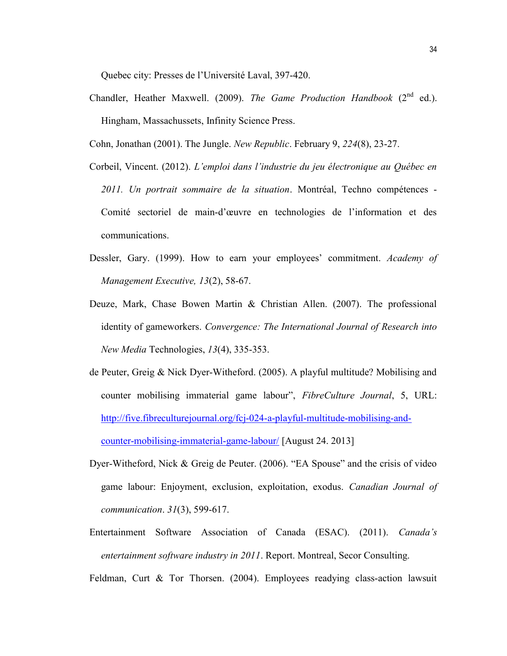Quebec city: Presses de l'Université Laval, 397-420.

Chandler, Heather Maxwell. (2009). The Game Production Handbook ( $2^{nd}$  ed.). Hingham, Massachussets, Infinity Science Press.

Cohn, Jonathan (2001). The Jungle. New Republic. February 9, 224(8), 23-27.

- Corbeil, Vincent. (2012). L'emploi dans l'industrie du jeu électronique au Québec en 2011. Un portrait sommaire de la situation. Montréal, Techno compétences - Comité sectoriel de main-d'œuvre en technologies de l'information et des communications.
- Dessler, Gary. (1999). How to earn your employees' commitment. Academy of Management Executive, 13(2), 58-67.
- Deuze, Mark, Chase Bowen Martin & Christian Allen. (2007). The professional identity of gameworkers. Convergence: The International Journal of Research into New Media Technologies, 13(4), 335-353.
- de Peuter, Greig & Nick Dyer-Witheford. (2005). A playful multitude? Mobilising and counter mobilising immaterial game labour", FibreCulture Journal, 5, URL: http://five.fibreculturejournal.org/fcj-024-a-playful-multitude-mobilising-andcounter-mobilising-immaterial-game-labour/ [August 24. 2013]
- Dyer-Witheford, Nick & Greig de Peuter. (2006). "EA Spouse" and the crisis of video game labour: Enjoyment, exclusion, exploitation, exodus. Canadian Journal of communication. 31(3), 599-617.
- Entertainment Software Association of Canada (ESAC). (2011). Canada's entertainment software industry in 2011. Report. Montreal, Secor Consulting.

Feldman, Curt & Tor Thorsen. (2004). Employees readying class-action lawsuit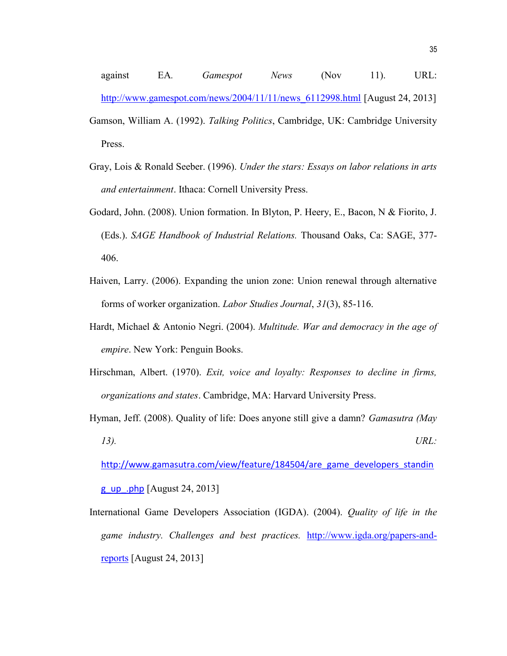against EA. Gamespot News (Nov 11). URL: http://www.gamespot.com/news/2004/11/11/news\_6112998.html [August 24, 2013] Gamson, William A. (1992). Talking Politics, Cambridge, UK: Cambridge University Press.

- Gray, Lois & Ronald Seeber. (1996). Under the stars: Essays on labor relations in arts and entertainment. Ithaca: Cornell University Press.
- Godard, John. (2008). Union formation. In Blyton, P. Heery, E., Bacon, N & Fiorito, J. (Eds.). SAGE Handbook of Industrial Relations. Thousand Oaks, Ca: SAGE, 377- 406.
- Haiven, Larry. (2006). Expanding the union zone: Union renewal through alternative forms of worker organization. Labor Studies Journal, 31(3), 85-116.
- Hardt, Michael & Antonio Negri. (2004). Multitude. War and democracy in the age of empire. New York: Penguin Books.
- Hirschman, Albert. (1970). Exit, voice and loyalty: Responses to decline in firms, organizations and states. Cambridge, MA: Harvard University Press.
- Hyman, Jeff. (2008). Quality of life: Does anyone still give a damn? *Gamasutra (May*  $13)$ . URL:

http://www.gamasutra.com/view/feature/184504/are\_game\_developers\_standin

g up .php [August 24, 2013]

International Game Developers Association (IGDA). (2004). Quality of life in the game industry. Challenges and best practices. http://www.igda.org/papers-andreports [August 24, 2013]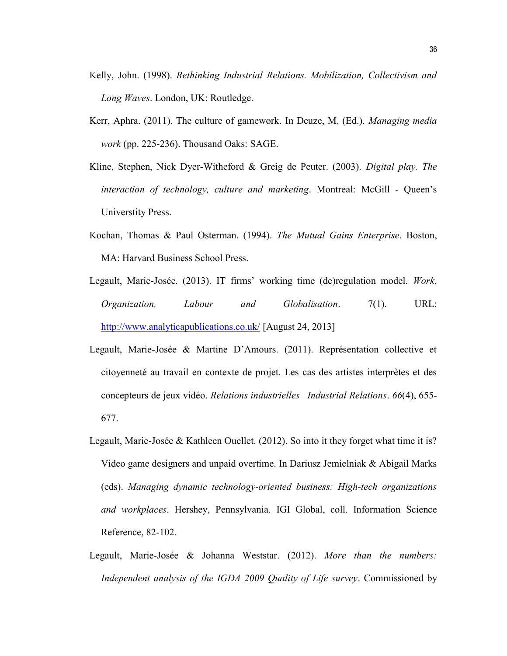- Kelly, John. (1998). Rethinking Industrial Relations. Mobilization, Collectivism and Long Waves. London, UK: Routledge.
- Kerr, Aphra. (2011). The culture of gamework. In Deuze, M. (Ed.). Managing media work (pp. 225-236). Thousand Oaks: SAGE.
- Kline, Stephen, Nick Dyer-Witheford & Greig de Peuter. (2003). Digital play. The interaction of technology, culture and marketing. Montreal: McGill - Queen's Universtity Press.
- Kochan, Thomas & Paul Osterman. (1994). The Mutual Gains Enterprise. Boston, MA: Harvard Business School Press.
- Legault, Marie-Josée. (2013). IT firms' working time (de)regulation model. Work, Organization, Labour and Globalisation. 7(1). URL: http://www.analyticapublications.co.uk/ [August 24, 2013]
- Legault, Marie-Josée & Martine D'Amours. (2011). Représentation collective et citoyenneté au travail en contexte de projet. Les cas des artistes interprètes et des concepteurs de jeux vidéo. Relations industrielles –Industrial Relations. 66(4), 655- 677.
- Legault, Marie-Josée & Kathleen Ouellet. (2012). So into it they forget what time it is? Video game designers and unpaid overtime. In Dariusz Jemielniak & Abigail Marks (eds). Managing dynamic technology-oriented business: High-tech organizations and workplaces. Hershey, Pennsylvania. IGI Global, coll. Information Science Reference, 82-102.
- Legault, Marie-Josée & Johanna Weststar. (2012). More than the numbers: Independent analysis of the IGDA 2009 Quality of Life survey. Commissioned by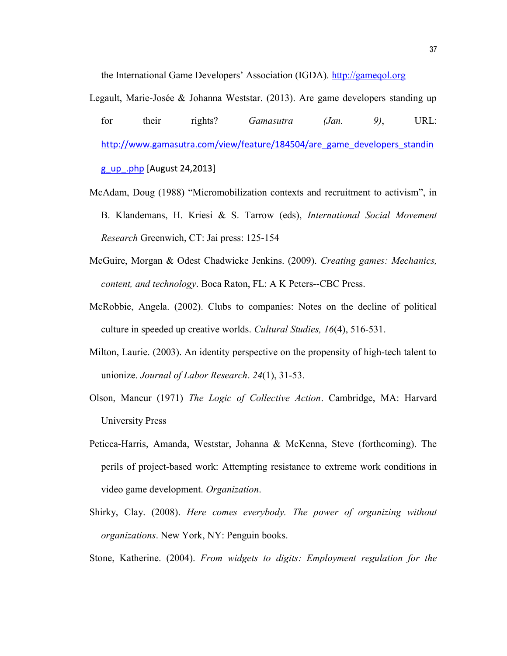the International Game Developers' Association (IGDA). http://gameqol.org

- Legault, Marie-Josée & Johanna Weststar. (2013). Are game developers standing up for their rights? Gamasutra (Jan. 9), URL: http://www.gamasutra.com/view/feature/184504/are\_game\_developers\_standin g\_up\_.php [August 24,2013]
- McAdam, Doug (1988) "Micromobilization contexts and recruitment to activism", in B. Klandemans, H. Kriesi & S. Tarrow (eds), International Social Movement Research Greenwich, CT: Jai press: 125-154
- McGuire, Morgan & Odest Chadwicke Jenkins. (2009). Creating games: Mechanics, content, and technology. Boca Raton, FL: A K Peters--CBC Press.
- McRobbie, Angela. (2002). Clubs to companies: Notes on the decline of political culture in speeded up creative worlds. Cultural Studies, 16(4), 516-531.
- Milton, Laurie. (2003). An identity perspective on the propensity of high-tech talent to unionize. Journal of Labor Research. 24(1), 31-53.
- Olson, Mancur (1971) The Logic of Collective Action. Cambridge, MA: Harvard University Press
- Peticca-Harris, Amanda, Weststar, Johanna & McKenna, Steve (forthcoming). The perils of project-based work: Attempting resistance to extreme work conditions in video game development. Organization.
- Shirky, Clay. (2008). Here comes everybody. The power of organizing without organizations. New York, NY: Penguin books.

Stone, Katherine. (2004). From widgets to digits: Employment regulation for the